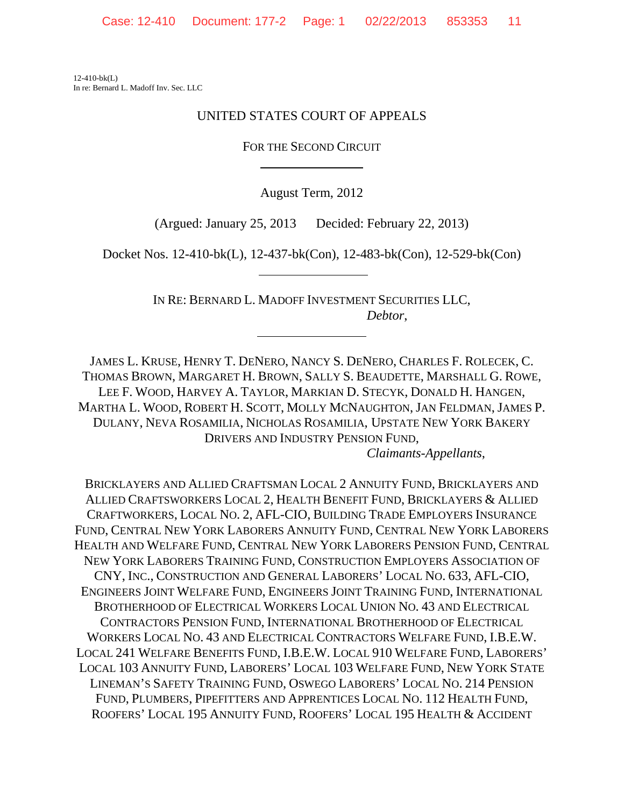12-410-bk(L) In re: Bernard L. Madoff Inv. Sec. LLC

## UNITED STATES COURT OF APPEALS

FOR THE SECOND CIRCUIT

l

August Term, 2012

(Argued: January 25, 2013 Decided: February 22, 2013)

Docket Nos. 12-410-bk(L), 12-437-bk(Con), 12-483-bk(Con), 12-529-bk(Con)

IN RE: BERNARD L. MADOFF INVESTMENT SECURITIES LLC, *Debtor*,

JAMES L. KRUSE, HENRY T. DENERO, NANCY S. DENERO, CHARLES F. ROLECEK, C. THOMAS BROWN, MARGARET H. BROWN, SALLY S. BEAUDETTE, MARSHALL G. ROWE, LEE F. WOOD, HARVEY A. TAYLOR, MARKIAN D. STECYK, DONALD H. HANGEN, MARTHA L. WOOD, ROBERT H. SCOTT, MOLLY MCNAUGHTON, JAN FELDMAN, JAMES P. DULANY, NEVA ROSAMILIA, NICHOLAS ROSAMILIA, UPSTATE NEW YORK BAKERY DRIVERS AND INDUSTRY PENSION FUND,

*Claimants-Appellants*,

BRICKLAYERS AND ALLIED CRAFTSMAN LOCAL 2 ANNUITY FUND, BRICKLAYERS AND ALLIED CRAFTSWORKERS LOCAL 2, HEALTH BENEFIT FUND, BRICKLAYERS & ALLIED CRAFTWORKERS, LOCAL NO. 2, AFL-CIO, BUILDING TRADE EMPLOYERS INSURANCE FUND, CENTRAL NEW YORK LABORERS ANNUITY FUND, CENTRAL NEW YORK LABORERS HEALTH AND WELFARE FUND, CENTRAL NEW YORK LABORERS PENSION FUND, CENTRAL NEW YORK LABORERS TRAINING FUND, CONSTRUCTION EMPLOYERS ASSOCIATION OF CNY, INC., CONSTRUCTION AND GENERAL LABORERS' LOCAL NO. 633, AFL-CIO, ENGINEERS JOINT WELFARE FUND, ENGINEERS JOINT TRAINING FUND, INTERNATIONAL BROTHERHOOD OF ELECTRICAL WORKERS LOCAL UNION NO. 43 AND ELECTRICAL CONTRACTORS PENSION FUND, INTERNATIONAL BROTHERHOOD OF ELECTRICAL WORKERS LOCAL NO. 43 AND ELECTRICAL CONTRACTORS WELFARE FUND, I.B.E.W. LOCAL 241 WELFARE BENEFITS FUND, I.B.E.W. LOCAL 910 WELFARE FUND, LABORERS' LOCAL 103 ANNUITY FUND, LABORERS' LOCAL 103 WELFARE FUND, NEW YORK STATE LINEMAN'S SAFETY TRAINING FUND, OSWEGO LABORERS' LOCAL NO. 214 PENSION FUND, PLUMBERS, PIPEFITTERS AND APPRENTICES LOCAL NO. 112 HEALTH FUND, ROOFERS' LOCAL 195 ANNUITY FUND, ROOFERS' LOCAL 195 HEALTH & ACCIDENT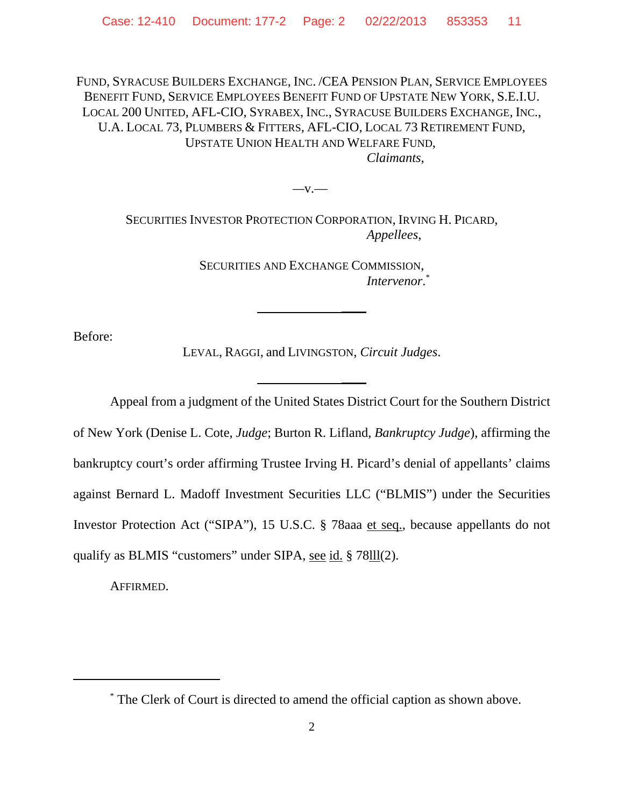FUND, SYRACUSE BUILDERS EXCHANGE, INC. /CEA PENSION PLAN, SERVICE EMPLOYEES BENEFIT FUND, SERVICE EMPLOYEES BENEFIT FUND OF UPSTATE NEW YORK, S.E.I.U. LOCAL 200 UNITED, AFL-CIO, SYRABEX, INC., SYRACUSE BUILDERS EXCHANGE, INC., U.A. LOCAL 73, PLUMBERS & FITTERS, AFL-CIO, LOCAL 73 RETIREMENT FUND, UPSTATE UNION HEALTH AND WELFARE FUND, *Claimants*,

*—*v.—

SECURITIES INVESTOR PROTECTION CORPORATION, IRVING H. PICARD, *Appellees*,

> SECURITIES AND EXCHANGE COMMISSION, *Intervenor*. \*

> > $\_$

Before:

LEVAL, RAGGI, and LIVINGSTON, *Circuit Judges*.

 $\_$ 

Appeal from a judgment of the United States District Court for the Southern District of New York (Denise L. Cote, *Judge*; Burton R. Lifland, *Bankruptcy Judge*), affirming the bankruptcy court's order affirming Trustee Irving H. Picard's denial of appellants' claims against Bernard L. Madoff Investment Securities LLC ("BLMIS") under the Securities Investor Protection Act ("SIPA"), 15 U.S.C. § 78aaa et seq., because appellants do not qualify as BLMIS "customers" under SIPA, see id. § 78lll(2).

AFFIRMED.

<sup>\*</sup> The Clerk of Court is directed to amend the official caption as shown above.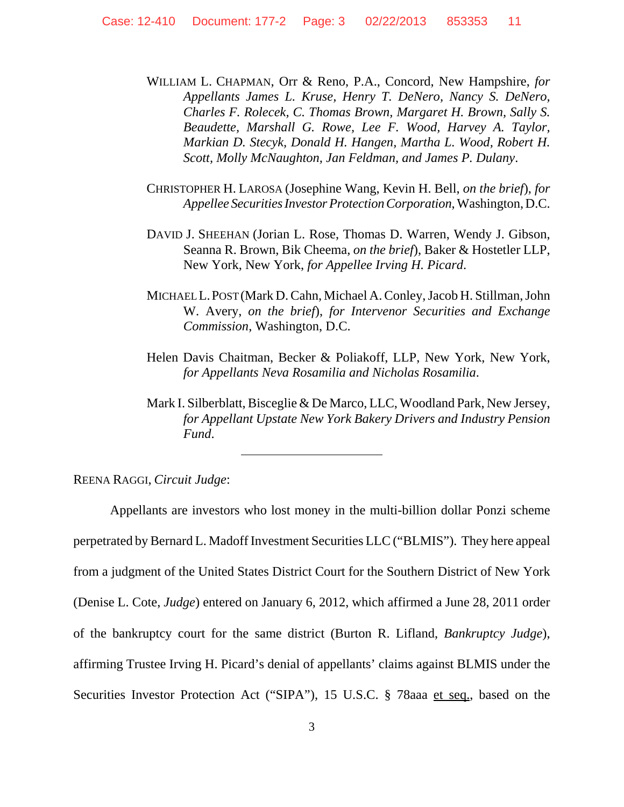- WILLIAM L. CHAPMAN, Orr & Reno, P.A., Concord, New Hampshire, *for Appellants James L. Kruse, Henry T. DeNero, Nancy S. DeNero, Charles F. Rolecek, C. Thomas Brown, Margaret H. Brown, Sally S. Beaudette, Marshall G. Rowe, Lee F. Wood, Harvey A. Taylor, Markian D. Stecyk, Donald H. Hangen, Martha L. Wood, Robert H. Scott, Molly McNaughton, Jan Feldman, and James P. Dulany*.
- CHRISTOPHER H. LAROSA (Josephine Wang, Kevin H. Bell, *on the brief*), *for Appellee Securities Investor Protection Corporation*, Washington, D.C.
- DAVID J. SHEEHAN (Jorian L. Rose, Thomas D. Warren, Wendy J. Gibson, Seanna R. Brown, Bik Cheema, *on the brief*), Baker & Hostetler LLP, New York, New York, *for Appellee Irving H. Picard*.
- MICHAEL L.POST (Mark D. Cahn, Michael A. Conley, Jacob H. Stillman, John W. Avery, *on the brief*), *for Intervenor Securities and Exchange Commission*, Washington, D.C.
- Helen Davis Chaitman, Becker & Poliakoff, LLP, New York, New York, *for Appellants Neva Rosamilia and Nicholas Rosamilia*.
- Mark I. Silberblatt, Bisceglie & De Marco, LLC, Woodland Park, New Jersey, *for Appellant Upstate New York Bakery Drivers and Industry Pension Fund*.

REENA RAGGI, *Circuit Judge*:

Appellants are investors who lost money in the multi-billion dollar Ponzi scheme perpetrated by Bernard L. Madoff Investment Securities LLC ("BLMIS"). They here appeal from a judgment of the United States District Court for the Southern District of New York (Denise L. Cote, *Judge*) entered on January 6, 2012, which affirmed a June 28, 2011 order of the bankruptcy court for the same district (Burton R. Lifland, *Bankruptcy Judge*), affirming Trustee Irving H. Picard's denial of appellants' claims against BLMIS under the Securities Investor Protection Act ("SIPA"), 15 U.S.C. § 78aaa et seq., based on the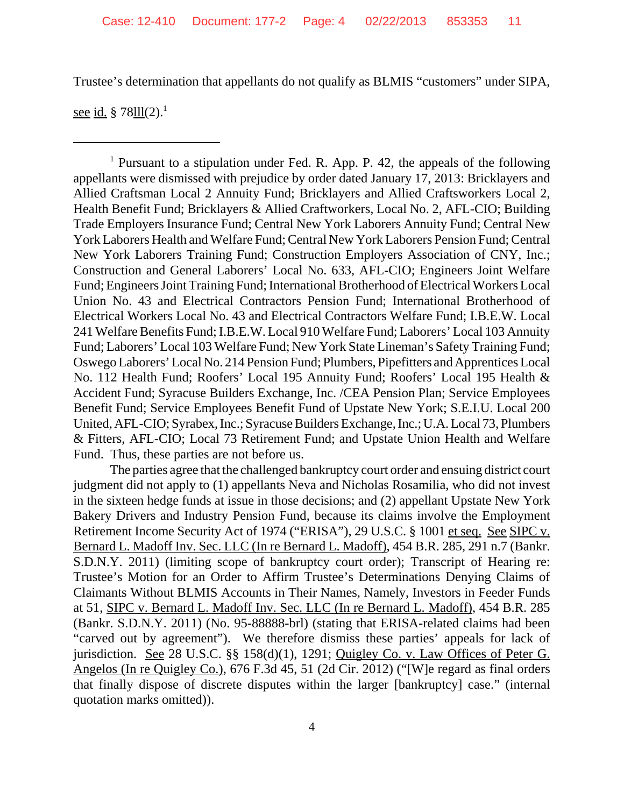Trustee's determination that appellants do not qualify as BLMIS "customers" under SIPA,

see id. § 78 $11(2)$ .<sup>1</sup>

<sup>1</sup> Pursuant to a stipulation under Fed. R. App. P. 42, the appeals of the following appellants were dismissed with prejudice by order dated January 17, 2013: Bricklayers and Allied Craftsman Local 2 Annuity Fund; Bricklayers and Allied Craftsworkers Local 2, Health Benefit Fund; Bricklayers & Allied Craftworkers, Local No. 2, AFL-CIO; Building Trade Employers Insurance Fund; Central New York Laborers Annuity Fund; Central New York Laborers Health and Welfare Fund; Central New York Laborers Pension Fund; Central New York Laborers Training Fund; Construction Employers Association of CNY, Inc.; Construction and General Laborers' Local No. 633, AFL-CIO; Engineers Joint Welfare Fund; Engineers Joint Training Fund; International Brotherhood of Electrical Workers Local Union No. 43 and Electrical Contractors Pension Fund; International Brotherhood of Electrical Workers Local No. 43 and Electrical Contractors Welfare Fund; I.B.E.W. Local 241 Welfare Benefits Fund; I.B.E.W. Local 910 Welfare Fund; Laborers' Local 103 Annuity Fund; Laborers' Local 103 Welfare Fund; New York State Lineman's Safety Training Fund; Oswego Laborers' Local No. 214 Pension Fund; Plumbers, Pipefitters and Apprentices Local No. 112 Health Fund; Roofers' Local 195 Annuity Fund; Roofers' Local 195 Health & Accident Fund; Syracuse Builders Exchange, Inc. /CEA Pension Plan; Service Employees Benefit Fund; Service Employees Benefit Fund of Upstate New York; S.E.I.U. Local 200 United, AFL-CIO; Syrabex, Inc.; Syracuse Builders Exchange, Inc.; U.A. Local 73, Plumbers & Fitters, AFL-CIO; Local 73 Retirement Fund; and Upstate Union Health and Welfare Fund. Thus, these parties are not before us.

The parties agree that the challenged bankruptcy court order and ensuing district court judgment did not apply to (1) appellants Neva and Nicholas Rosamilia, who did not invest in the sixteen hedge funds at issue in those decisions; and (2) appellant Upstate New York Bakery Drivers and Industry Pension Fund, because its claims involve the Employment Retirement Income Security Act of 1974 ("ERISA"), 29 U.S.C. § 1001 et seq. See SIPC v. Bernard L. Madoff Inv. Sec. LLC (In re Bernard L. Madoff), 454 B.R. 285, 291 n.7 (Bankr. S.D.N.Y. 2011) (limiting scope of bankruptcy court order); Transcript of Hearing re: Trustee's Motion for an Order to Affirm Trustee's Determinations Denying Claims of Claimants Without BLMIS Accounts in Their Names, Namely, Investors in Feeder Funds at 51, SIPC v. Bernard L. Madoff Inv. Sec. LLC (In re Bernard L. Madoff), 454 B.R. 285 (Bankr. S.D.N.Y. 2011) (No. 95-88888-brl) (stating that ERISA-related claims had been "carved out by agreement"). We therefore dismiss these parties' appeals for lack of jurisdiction. See 28 U.S.C. §§ 158(d)(1), 1291; Quigley Co. v. Law Offices of Peter G. Angelos (In re Quigley Co.), 676 F.3d 45, 51 (2d Cir. 2012) ("[W]e regard as final orders that finally dispose of discrete disputes within the larger [bankruptcy] case." (internal quotation marks omitted)).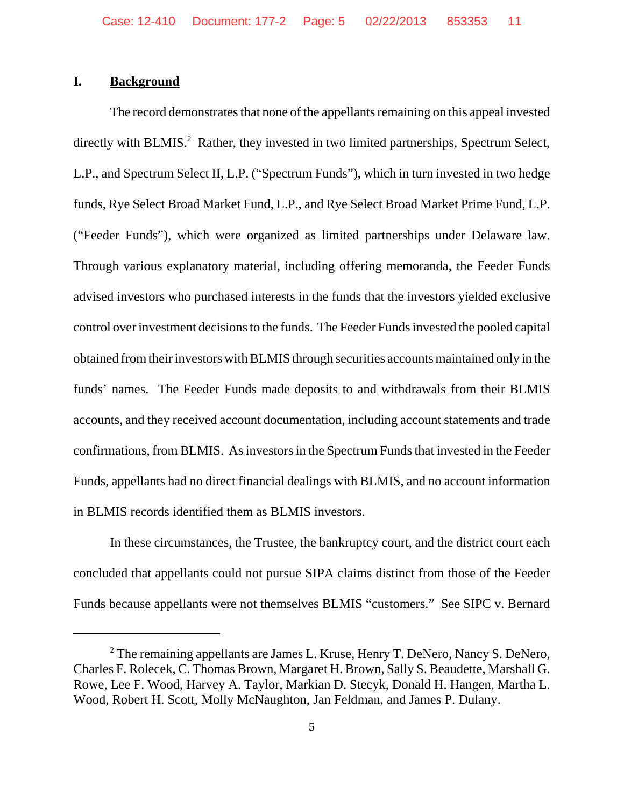## **I. Background**

The record demonstrates that none of the appellants remaining on this appeal invested directly with BLMIS.<sup>2</sup> Rather, they invested in two limited partnerships, Spectrum Select, L.P., and Spectrum Select II, L.P. ("Spectrum Funds"), which in turn invested in two hedge funds, Rye Select Broad Market Fund, L.P., and Rye Select Broad Market Prime Fund, L.P. ("Feeder Funds"), which were organized as limited partnerships under Delaware law. Through various explanatory material, including offering memoranda, the Feeder Funds advised investors who purchased interests in the funds that the investors yielded exclusive control over investment decisions to the funds. The Feeder Funds invested the pooled capital obtained from their investors with BLMIS through securities accounts maintained only in the funds' names. The Feeder Funds made deposits to and withdrawals from their BLMIS accounts, and they received account documentation, including account statements and trade confirmations, from BLMIS. As investors in the Spectrum Funds that invested in the Feeder Funds, appellants had no direct financial dealings with BLMIS, and no account information in BLMIS records identified them as BLMIS investors.

In these circumstances, the Trustee, the bankruptcy court, and the district court each concluded that appellants could not pursue SIPA claims distinct from those of the Feeder Funds because appellants were not themselves BLMIS "customers." See SIPC v. Bernard

<sup>&</sup>lt;sup>2</sup> The remaining appellants are James L. Kruse, Henry T. DeNero, Nancy S. DeNero, Charles F. Rolecek, C. Thomas Brown, Margaret H. Brown, Sally S. Beaudette, Marshall G. Rowe, Lee F. Wood, Harvey A. Taylor, Markian D. Stecyk, Donald H. Hangen, Martha L. Wood, Robert H. Scott, Molly McNaughton, Jan Feldman, and James P. Dulany.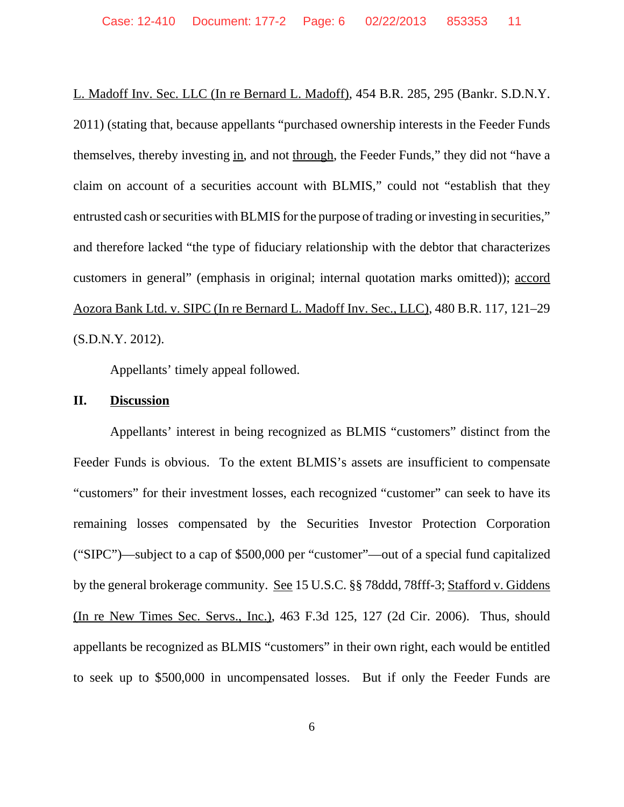L. Madoff Inv. Sec. LLC (In re Bernard L. Madoff), 454 B.R. 285, 295 (Bankr. S.D.N.Y. 2011) (stating that, because appellants "purchased ownership interests in the Feeder Funds themselves, thereby investing in, and not through, the Feeder Funds," they did not "have a claim on account of a securities account with BLMIS," could not "establish that they entrusted cash or securities with BLMIS for the purpose of trading or investing in securities," and therefore lacked "the type of fiduciary relationship with the debtor that characterizes customers in general" (emphasis in original; internal quotation marks omitted)); accord Aozora Bank Ltd. v. SIPC (In re Bernard L. Madoff Inv. Sec., LLC), 480 B.R. 117, 121–29 (S.D.N.Y. 2012).

Appellants' timely appeal followed.

## **II. Discussion**

Appellants' interest in being recognized as BLMIS "customers" distinct from the Feeder Funds is obvious. To the extent BLMIS's assets are insufficient to compensate "customers" for their investment losses, each recognized "customer" can seek to have its remaining losses compensated by the Securities Investor Protection Corporation ("SIPC")—subject to a cap of \$500,000 per "customer"—out of a special fund capitalized by the general brokerage community. See 15 U.S.C. §§ 78ddd, 78fff-3; Stafford v. Giddens (In re New Times Sec. Servs., Inc.), 463 F.3d 125, 127 (2d Cir. 2006). Thus, should appellants be recognized as BLMIS "customers" in their own right, each would be entitled to seek up to \$500,000 in uncompensated losses. But if only the Feeder Funds are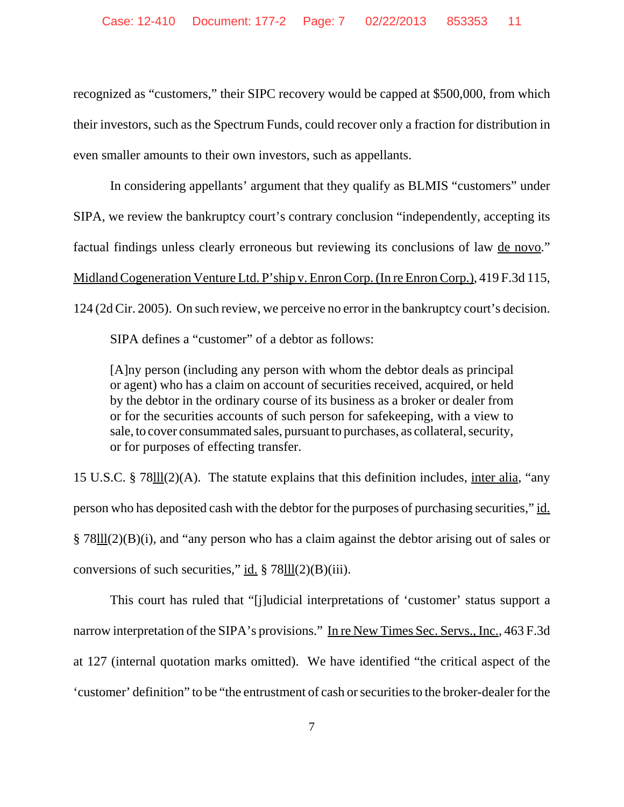recognized as "customers," their SIPC recovery would be capped at \$500,000, from which their investors, such as the Spectrum Funds, could recover only a fraction for distribution in even smaller amounts to their own investors, such as appellants.

In considering appellants' argument that they qualify as BLMIS "customers" under SIPA, we review the bankruptcy court's contrary conclusion "independently, accepting its factual findings unless clearly erroneous but reviewing its conclusions of law de novo." Midland Cogeneration Venture Ltd. P'ship v. Enron Corp. (In re Enron Corp.), 419 F.3d 115, 124 (2d Cir. 2005). On such review, we perceive no error in the bankruptcy court's decision.

SIPA defines a "customer" of a debtor as follows:

[A]ny person (including any person with whom the debtor deals as principal or agent) who has a claim on account of securities received, acquired, or held by the debtor in the ordinary course of its business as a broker or dealer from or for the securities accounts of such person for safekeeping, with a view to sale, to cover consummated sales, pursuant to purchases, as collateral, security, or for purposes of effecting transfer.

15 U.S.C. § 78lll(2)(A). The statute explains that this definition includes, inter alia, "any person who has deposited cash with the debtor for the purposes of purchasing securities," id. § 78lll(2)(B)(i), and "any person who has a claim against the debtor arising out of sales or conversions of such securities," id.  $\frac{8}{3}$  78 $\frac{111}{2}$ (B)(iii).

This court has ruled that "[j]udicial interpretations of 'customer' status support a narrow interpretation of the SIPA's provisions." In re New Times Sec. Servs., Inc., 463 F.3d at 127 (internal quotation marks omitted). We have identified "the critical aspect of the 'customer' definition" to be "the entrustment of cash or securities to the broker-dealer for the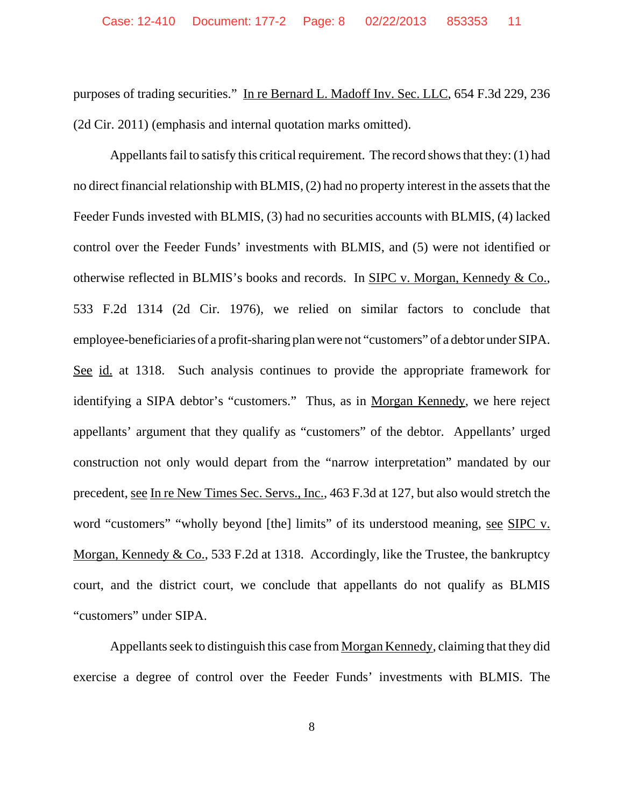purposes of trading securities." In re Bernard L. Madoff Inv. Sec. LLC, 654 F.3d 229, 236 (2d Cir. 2011) (emphasis and internal quotation marks omitted).

Appellants fail to satisfy this critical requirement. The record shows that they: (1) had no direct financial relationship with BLMIS, (2) had no property interest in the assets that the Feeder Funds invested with BLMIS, (3) had no securities accounts with BLMIS, (4) lacked control over the Feeder Funds' investments with BLMIS, and (5) were not identified or otherwise reflected in BLMIS's books and records. In SIPC v. Morgan, Kennedy & Co., 533 F.2d 1314 (2d Cir. 1976), we relied on similar factors to conclude that employee-beneficiaries of a profit-sharing plan were not "customers" of a debtor under SIPA. See id. at 1318. Such analysis continues to provide the appropriate framework for identifying a SIPA debtor's "customers." Thus, as in Morgan Kennedy, we here reject appellants' argument that they qualify as "customers" of the debtor. Appellants' urged construction not only would depart from the "narrow interpretation" mandated by our precedent, see In re New Times Sec. Servs., Inc., 463 F.3d at 127, but also would stretch the word "customers" "wholly beyond [the] limits" of its understood meaning, see SIPC v. Morgan, Kennedy & Co., 533 F.2d at 1318. Accordingly, like the Trustee, the bankruptcy court, and the district court, we conclude that appellants do not qualify as BLMIS "customers" under SIPA.

Appellants seek to distinguish this case from Morgan Kennedy, claiming that they did exercise a degree of control over the Feeder Funds' investments with BLMIS. The

8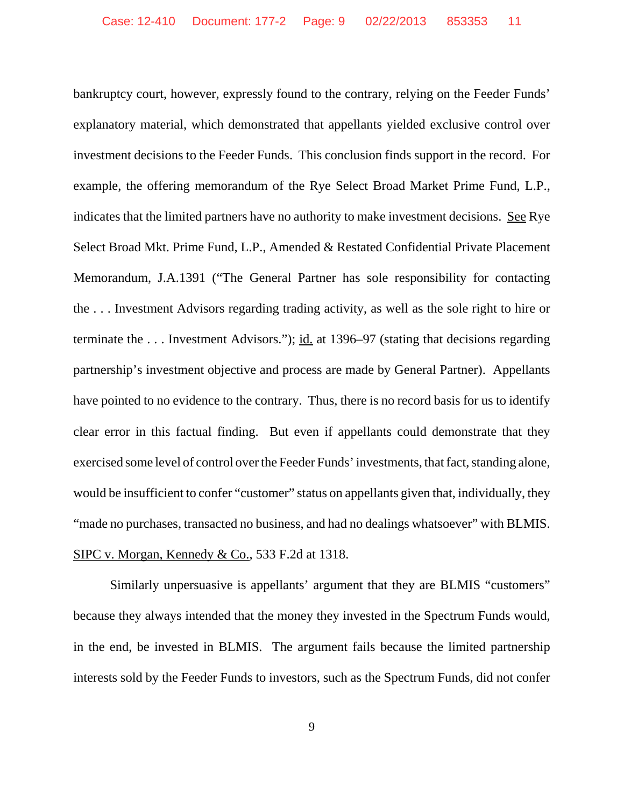bankruptcy court, however, expressly found to the contrary, relying on the Feeder Funds' explanatory material, which demonstrated that appellants yielded exclusive control over investment decisions to the Feeder Funds. This conclusion finds support in the record. For example, the offering memorandum of the Rye Select Broad Market Prime Fund, L.P., indicates that the limited partners have no authority to make investment decisions. See Rye Select Broad Mkt. Prime Fund, L.P., Amended & Restated Confidential Private Placement Memorandum, J.A.1391 ("The General Partner has sole responsibility for contacting the . . . Investment Advisors regarding trading activity, as well as the sole right to hire or terminate the . . . Investment Advisors."); id. at 1396–97 (stating that decisions regarding partnership's investment objective and process are made by General Partner). Appellants have pointed to no evidence to the contrary. Thus, there is no record basis for us to identify clear error in this factual finding. But even if appellants could demonstrate that they exercised some level of control over the Feeder Funds' investments, that fact, standing alone, would be insufficient to confer "customer" status on appellants given that, individually, they "made no purchases, transacted no business, and had no dealings whatsoever" with BLMIS. SIPC v. Morgan, Kennedy & Co., 533 F.2d at 1318.

Similarly unpersuasive is appellants' argument that they are BLMIS "customers" because they always intended that the money they invested in the Spectrum Funds would, in the end, be invested in BLMIS. The argument fails because the limited partnership interests sold by the Feeder Funds to investors, such as the Spectrum Funds, did not confer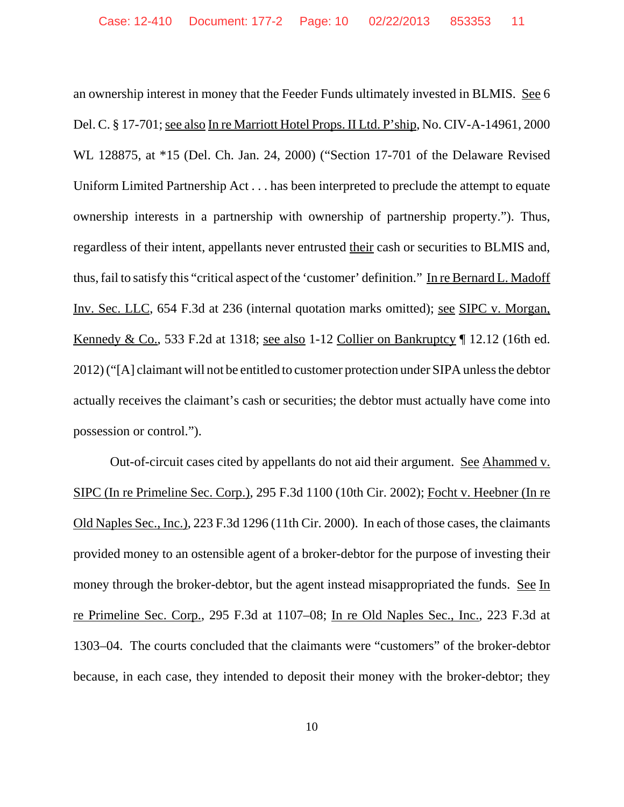an ownership interest in money that the Feeder Funds ultimately invested in BLMIS. See 6 Del. C. § 17-701; see also In re Marriott Hotel Props. II Ltd. P'ship, No. CIV-A-14961, 2000 WL 128875, at \*15 (Del. Ch. Jan. 24, 2000) ("Section 17-701 of the Delaware Revised Uniform Limited Partnership Act . . . has been interpreted to preclude the attempt to equate ownership interests in a partnership with ownership of partnership property."). Thus, regardless of their intent, appellants never entrusted their cash or securities to BLMIS and, thus, fail to satisfy this "critical aspect of the 'customer' definition." In re Bernard L. Madoff Inv. Sec. LLC, 654 F.3d at 236 (internal quotation marks omitted); see SIPC v. Morgan, Kennedy & Co., 533 F.2d at 1318; see also 1-12 Collier on Bankruptcy ¶ 12.12 (16th ed. 2012) ("[A] claimant will not be entitled to customer protection under SIPA unless the debtor actually receives the claimant's cash or securities; the debtor must actually have come into possession or control.").

Out-of-circuit cases cited by appellants do not aid their argument. See Ahammed v. SIPC (In re Primeline Sec. Corp.), 295 F.3d 1100 (10th Cir. 2002); Focht v. Heebner (In re Old Naples Sec., Inc.), 223 F.3d 1296 (11th Cir. 2000). In each of those cases, the claimants provided money to an ostensible agent of a broker-debtor for the purpose of investing their money through the broker-debtor, but the agent instead misappropriated the funds. See In re Primeline Sec. Corp., 295 F.3d at 1107–08; In re Old Naples Sec., Inc., 223 F.3d at 1303–04. The courts concluded that the claimants were "customers" of the broker-debtor because, in each case, they intended to deposit their money with the broker-debtor; they